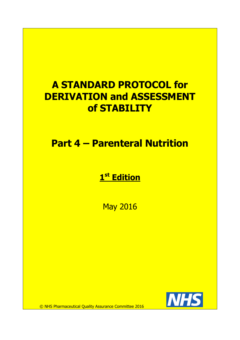# **A STANDARD PROTOCOL for DERIVATION and ASSESSMENT of STABILITY**

**Part 4 – Parenteral Nutrition**

**1 st Edition**

May 2016



© NHS Pharmaceutical Quality Assurance Committee 2016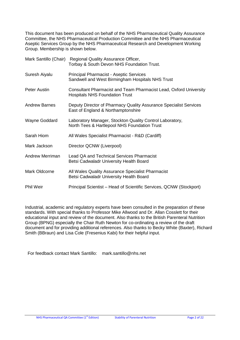This document has been produced on behalf of the NHS Pharmaceutical Quality Assurance Committee, the NHS Pharmaceutical Production Committee and the NHS Pharmaceutical Aseptic Services Group by the NHS Pharmaceutical Research and Development Working Group. Membership is shown below.

| Mark Santillo (Chair) | Regional Quality Assurance Officer,<br>Torbay & South Devon NHS Foundation Trust.                          |  |
|-----------------------|------------------------------------------------------------------------------------------------------------|--|
| Suresh Aiyalu         | <b>Principal Pharmacist - Aseptic Services</b><br>Sandwell and West Birmingham Hospitals NHS Trust         |  |
| Peter Austin          | Consultant Pharmacist and Team Pharmacist Lead, Oxford University<br><b>Hospitals NHS Foundation Trust</b> |  |
| <b>Andrew Barnes</b>  | Deputy Director of Pharmacy Quality Assurance Specialist Services<br>East of England & Northamptonshire    |  |
| Wayne Goddard         | Laboratory Manager, Stockton Quality Control Laboratory,<br>North Tees & Hartlepool NHS Foundation Trust   |  |
| Sarah Hiom            | All Wales Specialist Pharmacist - R&D (Cardiff)                                                            |  |
| Mark Jackson          | Director QCNW (Liverpool)                                                                                  |  |
| Andrew Merriman       | Lead QA and Technical Services Pharmacist<br>Betsi Cadwaladr University Health Board                       |  |
| Mark Oldcorne         | All Wales Quality Assurance Specialist Pharmacist<br>Betsi Cadwaladr University Health Board               |  |
| <b>Phil Weir</b>      | Principal Scientist – Head of Scientific Services, QCNW (Stockport)                                        |  |

Industrial, academic and regulatory experts have been consulted in the preparation of these standards. With special thanks to Professor Mike Allwood and Dr. Allan Cosslett for their educational input and review of the document. Also thanks to the British Parenteral Nutrition Group (BPNG) especially the Chair Ruth Newton for co-ordinating a review of the draft document and for providing additional references. Also thanks to Becky White (Baxter), Richard Smith (BBraun) and Lisa Cole (Fresenius Kabi) for their helpful input.

For feedback contact Mark Santillo: mark.santillo@nhs.net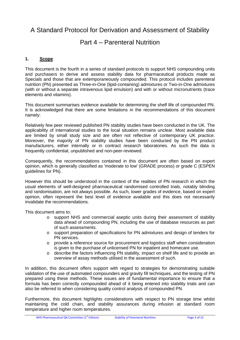# A Standard Protocol for Derivation and Assessment of Stability

# Part 4 – Parenteral Nutrition

# **1. Scope**

This document is the fourth in a series of standard protocols to support NHS compounding units and purchasers to derive and assess stability data for pharmaceutical products made as Specials and those that are extemporaneously compounded. This protocol includes parenteral nutrition (PN) presented as Three-in-One (lipid-containing) admixtures or Two-in-One admixtures (with or without a separate intravenous lipid emulsion) and with or without micronutrients (trace elements and vitamins).

This document summarises evidence available for determining the shelf life of compounded PN. It is acknowledged that there are some limitations in the recommendations of this document namely:

Relatively few peer reviewed published PN stability studies have been conducted in the UK. The applicability of international studies to the local situation remains unclear. Most available data are limited by small study size and are often not reflective of contemporary UK practice. Moreover, the majority of PN stability studies have been conducted by the PN product manufacturers, either internally or in contract research laboratories. As such the data is frequently confidential, unpublished and non-peer-reviewed.

Consequently, the recommendations contained in this document are often based on expert opinion, which is generally classified as 'moderate to low' (GRADE process) or grade C (ESPEN guidelines for PN).

However this should be understood in the context of the realities of PN research in which the usual elements of well-designed pharmaceutical randomised controlled trials, notably blinding and randomisation, are not always possible. As such, lower grades of evidence, based on expert opinion, often represent the best level of evidence available and this does not necessarily invalidate the recommendations.

This document aims to:

- o support NHS and commercial aseptic units during their assessment of stability data ahead of compounding PN, including the use of database resources as part of such assessments.
- o support preparation of specifications for PN admixtures and design of tenders for PN services.
- o provide a reference source for procurement and logistics staff when consideration is given to the purchase of unlicensed PN for inpatient and homecare use.
- o describe the factors influencing PN stability, impact on shelf life and to provide an overview of assay methods utilised in the assessment of such.

In addition, this document offers support with regard to strategies for demonstrating suitable validation of the use of automated compounders and gravity fill techniques, and the testing of PN prepared using these methods. These issues are of fundamental importance to ensure that a formula has been correctly compounded ahead of it being entered into stability trials and can also be referred to when considering quality control analysis of compounded PN.

Furthermore, this document highlights considerations with respect to PN storage time whilst maintaining the cold chain, and stability assurances during infusion at standard room temperature and higher room temperatures.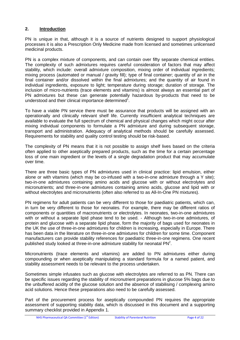# **2. Introduction**

PN is unique in that, although it is a source of nutrients designed to support physiological processes it is also a Prescription Only Medicine made from licensed and sometimes unlicensed medicinal products.

PN is a complex mixture of components, and can contain over fifty separate chemical entities. The complexity of such admixtures requires careful consideration of factors that may affect stability, which include: overall admixture composition, mixing order of individual ingredients; mixing process (automated or manual / gravity fill); type of final container; quantity of air in the final container and/or dissolved within the final admixtures; and the quantity of air found in individual ingredients, exposure to light; temperature during storage; duration of storage. The inclusion of micro-nutrients (trace elements and vitamins) is almost always an essential part of PN admixtures but these can generate potentially hazardous by-products that need to be understood and their clinical importance determined<sup>1</sup>.

To have a viable PN service there must be assurance that products will be assigned with an operationally and clinically relevant shelf life. Currently insufficient analytical techniques are available to evaluate the full spectrum of chemical and physical changes which might occur after mixing individual components to formulate a PN admixture and during subsequent storage, transport and administration. Adequacy of analytical methods should be carefully assessed. Requirements for stability and quality control testing should be risk-based.

The complexity of PN means that it is not possible to assign shelf lives based on the criteria often applied to other aseptically prepared products, such as the time for a certain percentage loss of one main ingredient or the levels of a single degradation product that may accumulate over time.

There are three basic types of PN admixtures used in clinical practice: lipid emulsion, either alone or with vitamins (which may be co-infused with a two-in-one admixture through a Y site); two-in-one admixtures containing amino acids and glucose with or without electrolytes and micronutrients; and three-in-one admixtures containing amino acids, glucose and lipid with or without electrolytes and micronutrients (often also referred to as All-In-One PN mixtures).

PN regimens for adult patients can be very different to those for paediatric patients, which can, in turn be very different to those for neonates. For example, there may be different ratios of components or quantities of macronutrients or electrolytes. In neonates, two-in-one admixtures with or without a separate lipid phase tend to be used. - Although two-in-one admixtures, of protein and glucose with a separate lipid phase, form the majority of bags used for neonates in the UK the use of three-in-one admixtures for children is increasing, especially in Europe. There has been data in the literature on three-in-one admixtures for children for some time. Component manufacturers can provide stability references for paediatric three-in-one regimens. One recent published study looked at three-in-one admixture stability for neonatal  $PN^2$ .

Micronutrients (trace elements and vitamins) are added to PN admixtures either during compounding or when aseptically manipulating a standard formula for a named patient, and stability assessment needs to be relevant to the process undertaken.

Sometimes simple infusates such as glucose with electrolytes are referred to as PN. There can be specific issues regarding the stability of micronutrient preparations in glucose 5% bags due to the unbuffered acidity of the glucose solution and the absence of stabilising / complexing amino acid solutions. Hence these preparations also need to be carefully assessed.

Part of the procurement process for aseptically compounded PN requires the appropriate assessment of supporting stability data, which is discussed in this document and a supporting summary checklist provided in Appendix 1.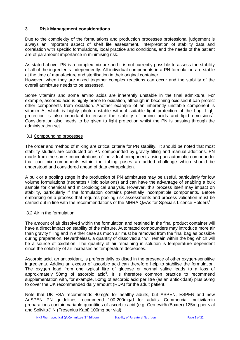# **3. Risk Management considerations**

Due to the complexity of the formulations and production processes professional judgement is always an important aspect of shelf life assessment. Interpretation of stability data and correlation with specific formulations, local practice and conditions, and the needs of the patient are of paramount importance in minimising risk.

As stated above, PN is a complex mixture and it is not currently possible to assess the stability of all of the ingredients independently. All individual components in a PN formulation are stable at the time of manufacture and sterilisation in their original container.

However, when they are mixed together complex reactions can occur and the stability of the overall admixture needs to be assessed.

Some vitamins and some amino acids are inherently unstable in the final admixture. For example, ascorbic acid is highly prone to oxidation, although in becoming oxidised it can protect other components from oxidation. Another example of an inherently unstable component is vitamin A, which is highly photo-unstable without suitable light protection of the bag. Light protection is also important to ensure the stability of amino acids and lipid emulsions<sup>3</sup>. Consideration also needs to be given to light protection whilst the PN is passing through the administration set.

#### 3.1 Compounding processes

The order and method of mixing are critical criteria for PN stability. It should be noted that most stability studies are conducted on PN compounded by gravity filling and manual additions. PN made from the same concentrations of individual components using an automatic compounder that can mix components within the tubing poses an added challenge which should be understood and considered ahead of data extrapolation.

A bulk or a pooling stage in the production of PN admixtures may be useful, particularly for low volume formulations (neonates / lipid solutions) and can have the advantage of enabling a bulk sample for chemical and microbiological analysis. However, this process itself may impact on stability, particularly if the formulation contains potentially incompatible components. Before embarking on a process that requires pooling risk assessments and process validation must be carried out in line with the recommendations of the MHRA Q&As for Specials Licence Holders<sup>4</sup>.

#### 3.2 Air in the formulation

The amount of air dissolved within the formulation and retained in the final product container will have a direct impact on stability of the mixture. Automated compounders may introduce more air than gravity filling and in either case as much air must be removed from the final bag as possible during preparation. Nevertheless, a quantity of dissolved air will remain within the bag which will be a source of oxidation. The quantity of air remaining in solution is temperature dependent since the solubility of air increases as temperature decreases.

Ascorbic acid, an antioxidant, is preferentially oxidised in the presence of other oxygen-sensitive ingredients. Adding an excess of ascorbic acid can therefore help to stabilise the formulation. The oxygen load from one typical litre of glucose or normal saline leads to a loss of approximately 50mg of ascorbic acid<sup>5</sup>. It is therefore common practice to recommend supplementation with, for example, 50mg of ascorbic acid per litre (as an antioxidant) plus 50mg to cover the UK recommended daily amount (RDA) for the adult patient.

Note that UK FSA recommends 40mg/d for healthy adults, but ASPEN, ESPEN and new AuSPEN PN guidelines recommend 100-200mg/d for adults. Commercial multivitamin preparations contain variable quantities of ascorbic acid (e.g. Cernevit® (Baxter) 125mg per vial and Solivito® N (Fresenius Kabi) 100mg per vial).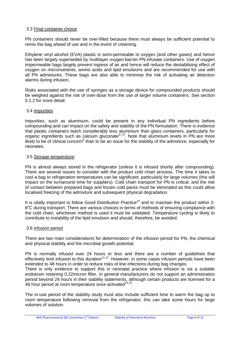#### 3.3 Final container choice

PN containers should never be over-filled because there must always be sufficient potential to remix the bag ahead of use and in the event of creaming.

Ethylene vinyl alcohol (EVA) plastic is semi-permeable to oxygen (and other gases) and hence has been largely superseded by multilayer oxygen barrier PN infusate containers. Use of oxygen impermeable bags largely prevent ingress of air and hence will reduce the destabilising effect of oxygen on micronutrients, amino acids and lipid emulsions and are recommended for use with all PN admixtures. These bags are also able to minimise the risk of activating air detection alarms during infusion.

Risks associated with the use of syringes as a storage device for compounded products should be weighed against the risk of over-dose from the use of larger volume containers. See section 5.1.2 for more detail.

#### 3.4 Impurities

Impurities, such as aluminium, could be present in any individual PN ingredients before compounding and can impact on the safety and stability of the PN formulation. There is evidence that plastic containers leach considerably less aluminium than glass containers, particularly for organic ingredients such as calcium gluconate<sup>6,7,8</sup>. Note that aluminium levels in PN are more likely to be of clinical concern<sup>9</sup> than to be an issue for the stability of the admixture, especially for neonates.

#### 3.5 Storage temperature

PN is almost always stored in the refrigerator (unless it is infused shortly after compounding). There are several issues to consider with the product cold chain process. The time it takes to cool a bag to refrigeration temperatures can be significant, particularly for large volumes (this will impact on the turnaround time for suppliers). Cold chain transport for PN is critical, and the risk of contact between prepared bags and frozen cold packs must be eliminated as this could allow localised freezing of the admixture and subsequent physical degradation.

It is vitally important to follow Good Distribution Practice<sup>10</sup> and to maintain the product within 2-8°C during transport. There are various choices in terms of methods of ensuring compliance with the cold chain, whichever method is used it must be validated. Temperature cycling is likely to contribute to instability of the lipid emulsion and should, therefore, be avoided.

#### 3.6 Infusion period

There are two main considerations for determination of the infusion period for PN, the chemical and physical stability and the microbial growth potential.

PN is normally infused over 24 hours or less and there are a number of quidelines that effectively limit infusion to this duration<sup>11,12</sup>. However, in some cases infusion periods have been extended to 48 hours in order to reduce risks of line infections during bag changes.

There is only evidence to support this in neonatal practice where infusion is via a suitable endotoxin retaining 0.22micron filter, in general manufacturers do not support an administration period beyond 24 hours in their stability statements, although certain products are licensed for a 48 hour period at room temperature once activated $13,14$ .

The in-use period of the stability study must also include sufficient time to warm the bag up to room temperature following removal from the refrigerator; this can take some hours for large volumes of solution.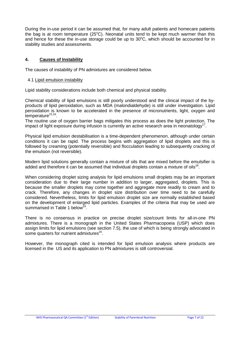During the in-use period it can be assumed that, for many adult patients and homecare patients the bag is at room temperature  $(25^{\circ}C)$ . Neonatal units tend to be kept much warmer than this and hence for these the in-use storage could be up to  $30^{\circ}$ C, which should be accounted for in stability studies and assessments.

# **4. Causes of Instability**

The causes of instability of PN admixtures are considered below.

#### 4.1 Lipid emulsion instability

Lipid stability considerations include both chemical and physical stability.

Chemical stability of lipid emulsions is still poorly understood and the clinical impact of the byproducts of lipid peroxidation, such as MDA (malondialdehyde) is still under investigation. Lipid peroxidation is known to be accelerated in the presence of micronutrients, light, oxygen and temperature<sup>15,16</sup>.

The routine use of oxygen barrier bags mitigates this process as does the light protection. The impact of light exposure during infusion is currently an active research area in neonatology<sup>17</sup>.

Physical lipid emulsion destabilisation is a time-dependent phenomenon, although under certain conditions it can be rapid. The process begins with aggregation of lipid droplets and this is followed by creaming (potentially reversible) and flocculation leading to subsequently cracking of the emulsion (not reversible).

Modern lipid solutions generally contain a mixture of oils that are mixed before the emulsifier is added and therefore it can be assumed that individual droplets contain a mixture of oils<sup>18</sup>.

When considering droplet sizing analysis for lipid emulsions small droplets may be an important consideration due to their large number in addition to larger, aggregated, droplets. This is because the smaller droplets may come together and aggregate more readily to cream and to crack. Therefore, any changes in droplet size distribution over time need to be carefully considered. Nevertheless, limits for lipid emulsion droplet size are normally established based on the development of enlarged lipid particles. Examples of the criteria that may be used are summarised in Table 1 below<sup>19</sup>.

There is no consensus in practice on precise droplet size/count limits for all-in-one PN admixtures. There is a monograph in the United States Pharmacopoeia (USP) which does assign limits for lipid emulsions (see section 7.5), the use of which is being strongly advocated in some quarters for nutrient admixtures<sup>20</sup>.

However, the monograph cited is intended for lipid emulsion analysis where products are licensed in the US and its application to PN admixtures is still controversial.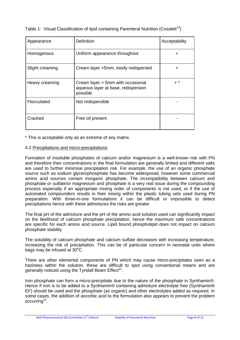| Appearance      | <b>Definition</b>                                                                    | Acceptability |
|-----------------|--------------------------------------------------------------------------------------|---------------|
| Homogenous      | Uniform appearance throughout                                                        | $\ddot{}$     |
| Slight creaming | Cream layer <5mm, easily redispersed                                                 | ÷             |
| Heavy creaming  | Cream layer > 5mm with occasional<br>aqueous layer at base, redispersion<br>possible | $+$ *         |
| Flocculated     | Not redispersible                                                                    |               |
| Cracked         | Free oil present                                                                     |               |

\* This is acceptable only as an extreme of any matrix.

#### 4.2 Precipitations and micro-precipitations

Formation of insoluble phosphates of calcium and/or magnesium is a well-known risk with PN and therefore their concentrations in the final formulation are generally limited and different salts are used to further minimise precipitation risk. For example, the use of an organic phosphate source such as sodium glycerophosphate has become widespread, however some commercial amino acid sources contain inorganic phosphate. The incompatibility between calcium and phosphate or sulfate/or magnesium and phosphate is a very real issue during the compounding process especially if an appropriate mixing order of components is not used, or if the use of automated compounders results in their mixing within the plastic tubing sets used during PN preparation. With three-in-one formulations it can be difficult or impossible to detect precipitations hence with these admixtures the risks are greater.

The final pH of the admixture and the pH of the amino acid solution used can significantly impact on the likelihood of calcium phosphate precipitation, hence the maximum safe concentrations are specific for each amino acid source. Lipid bound phospholipid does not impact on calcium phosphate stability

The solubility of calcium phosphate and calcium sulfate decreases with increasing temperature, increasing the risk of precipitation. This can be of particular concern in neonatal units where bags may be infused at  $30^{\circ}$ C.

There are other elemental components of PN which may cause micro-precipitates seen as a haziness within the solution, these are difficult to spot using conventional means and are generally noticed using the Tyndall Beam Effect $^{21}$ .

Iron phosphate can form a micro-precipitate due to the nature of the phosphate in Synthamin®. Hence if iron is to be added to a Synthamin® containing admixture electrolyte free (Synthamin® EF) should be used and the phosphate (as organic) and other electrolytes added as required. In some cases, the addition of ascorbic acid to the formulation also appears to prevent the problem occurring<sup>22</sup>.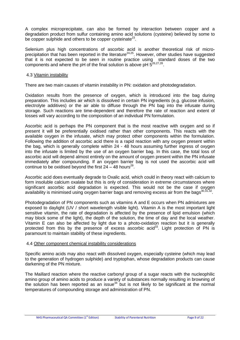A complex microprecipitate, can also be formed by interaction between copper and a degradation product from sulfur containing amino acid solutions (cysteine) believed by some to be copper sulphide and others to be copper cysteinate<sup>23</sup>.

Selenium plus high concentrations of ascorbic acid is another theoretical risk of microprecipitation that has been reported in the literature<sup>24,25</sup>. However, other studies have suggested that it is not expected to be seen in routine practice using standard doses of the two components and where the pH of the final solution is above pH  $5^{26,27,28}$ .

#### 4.3 Vitamin instability

There are two main causes of vitamin instability in PN: oxidation and photodegradation.

Oxidation results from the presence of oxygen, which is introduced into the bag during preparation. This includes air which is dissolved in certain PN ingredients (e.g. glucose infusion, electrolyte additives) or the air able to diffuse through the PN bag into the infusate during storage. Such reactions are time-dependent and therefore the rate of reaction and extent of losses will vary according to the composition of an individual PN formulation.

Ascorbic acid is perhaps the PN component that is the most reactive with oxygen and so if present it will be preferentially oxidised rather than other components. This reacts with the available oxygen in the infusate, which may protect other components within the formulation. Following the addition of ascorbic acid there is a rapid reaction with any oxygen present within the bag, which is generally complete within 24 - 48 hours assuming further ingress of oxygen into the infusate is limited by the use of an oxygen barrier bag. In this case, the total loss of ascorbic acid will depend almost entirely on the amount of oxygen present within the PN infusate immediately after compounding. If an oxygen barrier bag is not used the ascorbic acid will continue to be oxidised beyond the first  $24 - 48$  hours<sup>29</sup>.

Ascorbic acid does eventually degrade to Oxalic acid, which could in theory react with calcium to form insoluble calcium oxalate but this is only of consideration in extreme circumstances where significant ascorbic acid degradation is expected. This would not be the case if oxygen availability is minimised using oxygen barrier bags and removing excess air from the bags $^{30,31,32}$ .

Photodegradation of PN components such as vitamins A and E occurs when PN admixtures are exposed to daylight (UV / short wavelength visible light). Vitamin A is the most important light sensitive vitamin, the rate of degradation is affected by the presence of lipid emulsion (which may block some of the light), the depth of the solution, the time of day and the local weather. Vitamin E can also be affected by light due to a photo-oxidation reaction but it is generally protected from this by the presence of excess ascorbic acid<sup>33</sup>. Light protection of PN is paramount to maintain stability of these ingredients.

#### 4.4 Other component chemical instability considerations

Specific amino acids may also react with dissolved oxygen, especially cysteine (which may lead to the generation of hydrogen sulphide) and tryptophan, whose degradation products can cause darkening of the PN mixture.

The Maillard reaction where the reactive carbonyl group of a sugar reacts with the nucleophilic amino group of amino acids to produce a variety of substances normally resulting in browning of the solution has been reported as an issue $34$  but is not likely to be significant at the normal temperatures of compounding storage and administration of PN.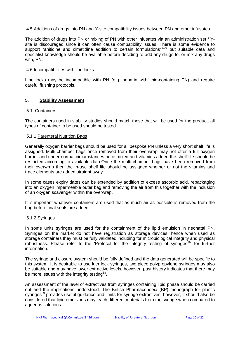#### 4.5 Additions of drugs into PN and Y-site compatibility issues between PN and other infusates

The addition of drugs into PN or mixing of PN with other infusates via an administration set / Ysite is discouraged since it can often cause compatibility issues. There is some evidence to support ranitidine and cimetidine addition to certain formulations<sup>35,36</sup> but suitable data and specialist knowledge should be available before deciding to add any drugs to, or mix any drugs with, PN.

#### 4.6 Incompatibilities with line locks

Line locks may be incompatible with PN (e.g. heparin with lipid-containing PN) and require careful flushing protocols.

#### **5. Stability Assessment**

#### 5.1. Containers

The containers used in stability studies should match those that will be used for the product, all types of container to be used should be tested.

#### 5.1.1 Parenteral Nutrition Bags

Generally oxygen barrier bags should be used for all bespoke PN unless a very short shelf life is assigned. Multi-chamber bags once removed from their overwrap may not offer a full oxygen barrier and under normal circumstances once mixed and vitamins added the shelf life should be restricted according to available data.Once the multi-chamber bags have been removed from their overwrap then the in-use shelf life should be assigned whether or not the vitamins and trace elements are added straight away.

In some cases expiry dates can be extended by addition of excess ascorbic acid, repackaging into an oxygen impermeable outer bag and removing the air from this together with the inclusion of an oxygen scavenger within the overwrap.

It is important whatever containers are used that as much air as possible is removed from the bag before final seals are added.

#### 5.1.2 Syringes

In some units syringes are used for the containment of the lipid emulsion in neonatal PN. Syringes on the market do not have registration as storage devices, hence when used as storage containers they must be fully validated including for microbiological integrity and physical robustness. Please refer to the 'Protocol for the integrity testing of syringes<sup>37</sup> for further information.

The syringe and closure system should be fully defined and the data generated will be specific to this system. It is desirable to use luer lock syringes, two piece polypropylene syringes may also be suitable and may have lower extractive levels, however, past history indicates that there may be more issues with the integrity testing $38$ .

An assessment of the level of extractives from syringes containing lipid phase should be carried out and the implications understood. The British Pharmacopoeia (BP) monograph for plastic syringes<sup>39</sup> provides useful quidance and limits for syringe extractives, however, it should also be considered that lipid emulsions may leach different materials from the syringe when compared to aqueous solutions.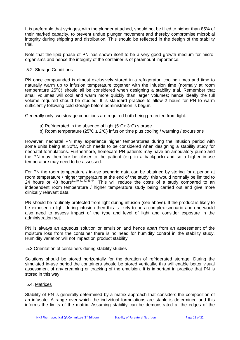It is preferable that syringes, with the plunger attached, should not be filled to higher than 85% of their marked capacity, to prevent undue plunger movement and thereby compromise microbial integrity during shipping and distribution. This should be reflected in the design of the stability trial.

Note that the lipid phase of PN has shown itself to be a very good growth medium for microorganisms and hence the integrity of the container is of paramount importance.

#### 5.2. Storage Conditions

PN once compounded is almost exclusively stored in a refrigerator, cooling times and time to naturally warm up to infusion temperature together with the infusion time (normally at room temperature 25°C) should all be considered when designing a stability trial. Remember that small volumes will cool and warm more quickly than larger volumes; hence ideally the full volume required should be studied. It is standard practice to allow 2 hours for PN to warm sufficiently following cold storage before administration is begun.

Generally only two storage conditions are required both being protected from light.

- a) Refrigerated in the absence of light ( $5^{\circ}$ C $\pm$  3 $^{\circ}$ C) storage
- b) Room temperature (25°C  $\pm$  2°C) infusion time plus cooling / warming / excursions

However, neonatal PN may experience higher temperatures during the infusion period with some units being at  $30^{\circ}$ C, which needs to be considered when designing a stability study for neonatal formulations. Furthermore, homecare PN patients may have an ambulatory pump and the PN may therefore be closer to the patient (e.g. in a backpack) and so a higher in-use temperature may need to be assessed.

For PN the room temperature / in-use scenario data can be obtained by storing for a period at room temperature / higher temperature at the end of the study, this would normally be limited to 24 hours or 48 hours<sup>11,40,41,42,43,44</sup>. This will reduce the costs of a study compared to an independent room temperature / higher temperature study being carried out and give more clinically relevant data.

PN should be routinely protected from light during infusion (see above). If the product is likely to be exposed to light during infusion then this is likely to be a complex scenario and one would also need to assess impact of the type and level of light and consider exposure in the administration set.

PN is always an aqueous solution or emulsion and hence apart from an assessment of the moisture loss from the container there is no need for humidity control in the stability study. Humidity variation will not impact on product stability.

#### 5.3 Orientation of containers during stability studies

Solutions should be stored horizontally for the duration of refrigerated storage. During the simulated in-use period the containers should be stored vertically, this will enable better visual assessment of any creaming or cracking of the emulsion. It is important in practice that PN is stored in this way.

#### 5.4. Matrices

Stability of PN is generally determined by a matrix approach that considers the composition of an infusate. A range over which the individual formulations are stable is determined and this informs the limits of the matrix. Assuming stability can be demonstrated at the edges of the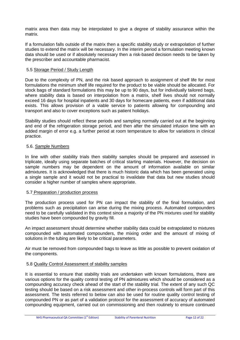matrix area then data may be interpolated to give a degree of stability assurance within the matrix.

If a formulation falls outside of the matrix then a specific stability study or extrapolation of further studies to extend the matrix will be necessary. In the interim period a formulation meeting known data should be used or if absolutely necessary then a risk-based decision needs to be taken by the prescriber and accountable pharmacist.

#### 5.5 Storage Period / Study Length

Due to the complexity of PN, and the risk based approach to assignment of shelf life for most formulations the minimum shelf life required for the product to be viable should be allocated. For stock bags of standard formulations this may be up to 90 days, but for individually tailored bags, where stability data is based on interpolation from a matrix, shelf lives should not normally exceed 16 days for hospital inpatients and 30 days for homecare patients, even if additional data exists. This allows provision of a viable service to patients allowing for compounding and transport and also to cover exceptions such as patient holidays.

Stability studies should reflect these periods and sampling normally carried out at the beginning and end of the refrigeration storage period, and then after the simulated infusion time with an added margin of error e.g. a further period at room temperature to allow for variations in clinical practice.

#### 5.6. Sample Numbers

In line with other stability trials then stability samples should be prepared and assessed in triplicate, ideally using separate batches of critical starting materials. However, the decision on sample numbers may be dependent on the amount of information available on similar admixtures. It is acknowledged that there is much historic data which has been generated using a single sample and it would not be practical to invalidate that data but new studies should consider a higher number of samples where appropriate.

#### 5.7 Preparation / production process

The production process used for PN can impact the stability of the final formulation, and problems such as precipitation can arise during the mixing process. Automated compounders need to be carefully validated in this context since a majority of the PN mixtures used for stability studies have been compounded by gravity fill.

An impact assessment should determine whether stability data could be extrapolated to mixtures compounded with automated compounders, the mixing order and the amount of mixing of solutions in the tubing are likely to be critical parameters.

Air must be removed from compounded bags to leave as little as possible to prevent oxidation of the components.

#### 5.8 Quality Control Assessment of stability samples

It is essential to ensure that stability trials are undertaken with known formulations, there are various options for the quality control testing of PN admixtures which should be considered as a compounding accuracy check ahead of the start of the stability trial. The extent of any such QC testing should be based on a risk assessment and other in-process controls will form part of this assessment. The tests referred to below can also be used for routine quality control testing of compounded PN or as part of a validation protocol for the assessment of accuracy of automated compounding equipment, carried out on commissioning and then routinely to ensure continued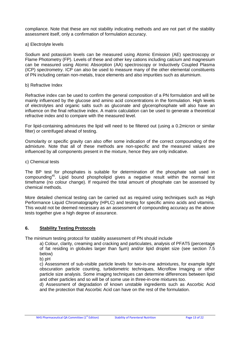compliance. Note that these are not stability indicating methods and are not part of the stability assessment itself, only a confirmation of formulation accuracy.

#### a) Electrolyte levels

Sodium and potassium levels can be measured using Atomic Emission (AE) spectroscopy or Flame Photometry (FP). Levels of these and other key cations including calcium and magnesium can be measured using Atomic Absorption (AA) spectroscopy or Inductively Coupled Plasma (ICP) spectrometry. ICP can also be used to measure many of the other elemental constituents of PN including certain non-metals, trace elements and also impurities such as aluminium.

#### b) Refractive Index

Refractive index can be used to confirm the general composition of a PN formulation and will be mainly influenced by the glucose and amino acid concentrations in the formulation. High levels of electrolytes and organic salts such as gluconate and glycerophosphate will also have an influence on the final refractive index. A matrix calculation can be used to generate a theoretical refractive index and to compare with the measured level.

For lipid-containing admixtures the lipid will need to be filtered out (using a 0.2micron or similar filter) or centrifuged ahead of testing.

Osmolarity or specific gravity can also offer some indication of the correct compounding of the admixture. Note that all of these methods are non-specific and the measured values are influenced by all components present in the mixture, hence they are only indicative.

#### c) Chemical tests

The BP test for phosphates is suitable for determination of the phosphate salt used in compounding<sup>45</sup>. Lipid bound phospholipid gives a negative result within the normal test timeframe (no colour change). If required the total amount of phosphate can be assessed by chemical methods.

More detailed chemical testing can be carried out as required using techniques such as High Performance Liquid Chromatography (HPLC) and testing for specific amino acids and vitamins. This would not be deemed necessary as an assessment of compounding accuracy as the above tests together give a high degree of assurance.

#### **6. Stability Testing Protocols**

The minimum testing protocol for stability assessment of PN should include

a) Colour, clarity, creaming and cracking and particulates, analysis of PFAT5 (percentage of fat residing in globules larger than 5µm) and/or lipid droplet size (see section 7.5 below)

b) pH

c) Assessment of sub-visible particle levels for two-in-one admixtures, for example light obscuration particle counting, turbidometric techniques, Microflow Imaging or other particle size analysis. Some imaging techniques can determine differences between lipid and other particles and so will be of some use in three-in-one mixtures too.

d) Assessment of degradation of known unstable ingredients such as Ascorbic Acid and the protection that Ascorbic Acid can have on the rest of the formulation.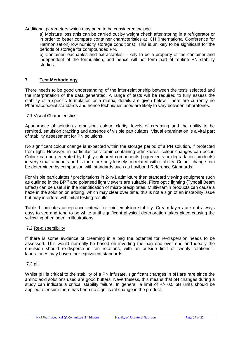Additional parameters which may need to be considered include

a) Moisture loss (this can be carried out by weight check after storing in a refrigerator or in order to better compare container characteristics at ICH (International Conference for Harmonisation) low humidity storage conditions). This is unlikely to be significant for the periods of storage for compounded PN.

b) Container leachables and extractables - likely to be a property of the container and independent of the formulation, and hence will not form part of routine PN stability studies.

# **7. Test Methodology**

There needs to be good understanding of the inter-relationship between the tests selected and the interpretation of the data generated. A range of tests will be required to fully assess the stability of a specific formulation or a matrix, details are given below. There are currently no Pharmacopoeial standards and hence techniques used are likely to vary between laboratories.

#### 7.1 Visual Characteristics

Appearance of solution / emulsion, colour, clarity, levels of creaming and the ability to be remixed, emulsion cracking and absence of visible particulates. Visual examination is a vital part of stability assessment for PN solutions.

No significant colour change is expected within the storage period of a PN solution, if protected from light. However, in particular for vitamin-containing admixtures, colour changes can occur. Colour can be generated by highly coloured components (ingredients or degradation products) in very small amounts and is therefore only loosely correlated with stability. Colour change can be determined by comparison with standards such as Lovibond Reference Standards.

For visible particulates / precipitations in 2-in-1 admixture then standard viewing equipment such as outlined in the BP<sup>46</sup> and polarised light viewers are suitable. Fibre optic lighting (Tyndall Beam Effect) can be useful in the identification of micro-precipitates. Multivitamin products can cause a haze in the solution on adding, which may clear over time, this is not a sign of an instability issue but may interfere with initial testing results.

Table 1 indicates acceptance criteria for lipid emulsion stability. Cream layers are not always easy to see and tend to be white until significant physical deterioration takes place causing the yellowing often seen in illustrations.

#### 7.2 Re-dispersibility

If there is some evidence of creaming in a bag the potential for re-dispersion needs to be assessed. This would normally be based on inverting the bag end over end and ideally the emulsion should re-disperse in ten rotations, with an outside limit of twenty rotations<sup>19</sup>, laboratories may have other equivalent standards.

# 7.3 pH

Whilst pH is critical to the stability of a PN infusate, significant changes in pH are rare since the amino acid solutions used are good buffers. Nevertheless, this means that pH changes during a study can indicate a critical stability failure. In general, a limit of +/- 0.5 pH units should be applied to ensure there has been no significant change in the product.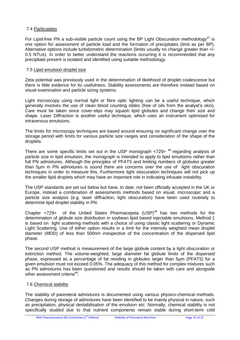#### 7.4 Particulates

For Lipid-free PN a sub-visible particle count using the BP Light Obscuration methodology<sup>47</sup> is one option for assessment of particle load and the formation of precipitates (limit as per BP). Alternative options include turbidometric determination (limits usually no change greater than +/- 0.5 NTUs). In order to better understand the reactions occurring it is recommended that any precipitate present is isolated and identified using suitable methodology.

#### 7.5 Lipid emulsion droplet size

Zeta potential was previously used in the determination of likelihood of droplet coalescence but there is little evidence for its usefulness. Stability assessments are therefore instead based on visual examination and particle sizing systems.

Light microscopy using normal light or fibre optic lighting can be a useful technique, which generally involves the use of clean blood counting slides (free of oils from the analyst's skin). Care must be taken since cover-slips may squash lipid globules and change their size and shape. Laser Diffraction is another useful technique, which uses an instrument optimised for intravenous emulsions.

The limits for microscopy techniques are based around ensuring no significant change over the storage period with limits for various particle size ranges and consideration of the shape of the droplets.

There are some specific limits set out in the USP monograph  $\langle 729 \rangle$   $^{48}$  regarding analysis of particle size in lipid emulsion, the monograph is intended to apply to lipid emulsions rather than full PN admixtures. Although the principles of PFAT5 and limiting numbers of globules greater than 5µm in PN admixtures is sound there are concerns over the use of light obscuration techniques in order to measure this. Furthermore light obscuration techniques will not pick up the smaller lipid droplets which may have an important role in indicating infusate instability.

The USP standards are set out below but have, to date, not been officially accepted in the UK or Europe, instead a combination of assessments methods based on visual, microscopic and a particle size analysis (e.g. laser diffraction, light obscuration) have been used routinely to determine lipid droplet stability in PN.

Chapter  $\langle 729 \rangle$  of the United States Pharmacopeia (USP)<sup>48</sup> has two methods for the determination of globule size distribution in soybean lipid based injectable emulsions, Method 1 is based on light scattering methods with a choice of using classic light scattering or Dynamic Light Scattering. Use of either option results in a limit for the intensity weighted mean droplet diameter (MDD) of less than 500nm irrespective of the concentration of the dispersed lipid phase.

The second USP method is measurement of the large globule content by a light obscuration or extinction method. The volume-weighted, large diameter fat globule limits of the dispersed phase, expressed as a percentage of fat residing in globules larger than 5µm (PFAT5) for a given emulsion must not exceed 0.05%. The adequacy of this method for complex mixtures such as PN admixtures has been questioned and results should be taken with care and alongside other assessment criteria<sup>49</sup>.

#### 7.6 Chemical stability

The stability of parenteral admixtures is documented using various physico-chemical methods. Changes during storage of admixtures have been identified to be mainly physical in nature, such as precipitation, physical destabilisation of the emulsion etc. Normally, chemical stability is not specifically studied due to that nutrient components remain stable during short-term cold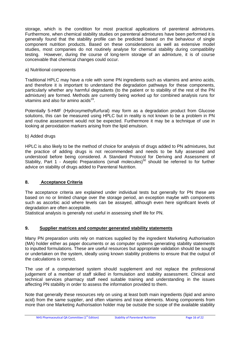storage, which is the condition for most practical applications of parenteral admixtures. Furthermore, when chemical stability studies on parenteral admixtures have been performed it is generally found that the stability profile can be predicted based on the behaviour of single component nutrition products. Based on these considerations as well as extensive model studies, most companies do not routinely analyse for chemical stability during compatibility testing. However, during the course of long-term storage of an admixture, it is of course conceivable that chemical changes could occur.

#### a) Nutritional components

Traditional HPLC may have a role with some PN ingredients such as vitamins and amino acids, and therefore it is important to understand the degradation pathways for these components, particularly whether any harmful degradants (to the patient or to stability of the rest of the PN admixture) are formed. Methods are currently being worked up for combined analysis runs for vitamins and also for amino acids $^{19}$ .

Potentially 5-HMF (Hydroxymethylfurfural) may form as a degradation product from Glucose solutions, this can be measured using HPLC but in reality is not known to be a problem in PN and routine assessment would not be expected. Furthermore it may be a technique of use in looking at peroxidation markers arising from the lipid emulsion.

#### b) Added drugs

HPLC is also likely to be the method of choice for analysis of drugs added to PN admixtures, but the practice of adding drugs is not recommended and needs to be fully assessed and understood before being considered. A Standard Protocol for Deriving and Assessment of Stability, Part 1 - Aseptic Preparations (small molecules)<sup>50</sup> should be referred to for further advice on stability of drugs added to Parenteral Nutrition.

#### **8. Acceptance Criteria**

The acceptance criteria are explained under individual tests but generally for PN these are based on no or limited change over the storage period, an exception maybe with components such as ascorbic acid where levels can be assayed, although even here significant levels of degradation are often acceptable.

Statistical analysis is generally not useful in assessing shelf life for PN.

## **9. Supplier matrices and computer generated stability statements**

Many PN preparation units rely on matrices supplied by the ingredient Marketing Authorisation (MA) holder either as paper documents or as computer systems generating stability statements to inputted formulations. These are useful resources but appropriate validation should be sought or undertaken on the system, ideally using known stability problems to ensure that the output of the calculations is correct.

The use of a computerised system should supplement and not replace the professional judgement of a member of staff skilled in formulation and stability assessment. Clinical and technical services pharmacy staff need suitable training and understanding in the issues affecting PN stability in order to assess the information provided to them.

Note that generally these resources rely on using at least both main ingredients (lipid and amino acid) from the same supplier, and often vitamins and trace elements. Mixing components from more than one Marketing Authorisation holder may be outside the scope of the available stability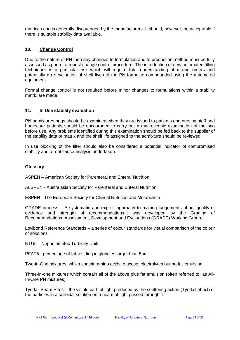matrices and is generally discouraged by the manufacturers. It should, however, be acceptable if there is suitable stability data available.

## **10. Change Control**

Due to the nature of PN then any changes to formulation and to production method must be fully assessed as part of a robust change control procedure. The introduction of new automated filling techniques is a particular risk which will require total understanding of mixing orders and potentially a re-evaluation of shelf lives of the PN formulae compounded using the automated equipment.

Formal change control is not required before minor changes to formulations within a stability matrix are made.

#### **11. In Use stability evaluation**

PN admixtures bags should be examined when they are issued to patients and nursing staff and homecare patients should be encouraged to carry out a macroscopic examination of the bag before use. Any problems identified during this examination should be fed back to the supplier of the stability data or matrix and the shelf life assigned to the admixture should be reviewed.

In use blocking of the filter should also be considered a potential indicator of compromised stability and a root cause analysis undertaken.

#### **Glossary**

ASPEN – American Society for Parenteral and Enteral Nutrition

AuSPEN - Australasian Society for Parenteral and Enteral Nutrition

ESPEN - The European Society for Clinical Nutrition and Metabolism

GRADE process – A systematic and explicit approach to making judgements about quality of evidence and strength of recommendations.It was developed by the Grading of Recommendations, Assessment, Development and Evaluations (GRADE) Working Group,

Lovibond Reference Standards – a series of colour standards for visual comparison of the colour of solutions

NTUs – Nephelometric Turbidity Units

PFAT5 - percentage of fat residing in globules larger than 5µm

Two-in-One mixtures, which contain amino acids, glucose, electrolytes but no fat emulsion

Three-in-one mixtures which contain all of the above plus fat emulsion (often referred to as All-In-One PN mixtures).

Tyndall Beam Effect - the visible path of light produced by the scattering action (Tyndall effect) of the particles in a colloidal solution on a beam of light passed through it.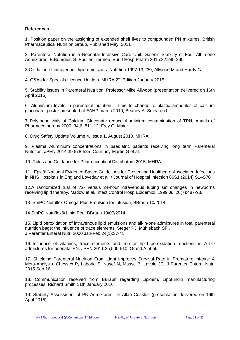# **References**

1. Position paper on the assigning of extended shelf lives to compounded PN mixtures, British Pharmaceutical Nutrition Group, Published May, 2011

2. Parenteral Nutrition in a Neonatal Intensive Care Unit: Galenic Stability of Four All-in-one Admixtures, E.Bourgier, S. Poullan-Termeu, Eur J Hosp Pharm 2015:22:285-290.

3 Oxidation of intravenous lipid emulsions. Nutrition 1997:13;230, Allwood M and Hardy G.

4. Q&As for Specials Licence Holders, MHRA 2<sup>nd</sup> Edition January 2015.

5. Stability issues in Parenteral Nutrition, Professor Mike Allwood (presentation delivered on 16th April 2015)

6. Aluminium levels in parenteral nutrition – time to change to plastic ampoules of calcium gluconate, poster presented at EAHP march 2010, Beaney A. Smeaton I.

7 Polythene vials of Calcium Gluconate reduce Aluminium contamination of TPN, Annals of Pharmacotherapy 2000, 34,6, 811-12, Frey O. Maier L.

8. Drug Safety Update Volume 4, Issue 1, August 2010, MHRA

9. Plasma Aluminium concentrations in paediatric patients receiving long term Parenteral Nutrition. JPEN 2014:39;578-585, Courtney-Martin G et al.

10. Rules and Guidance for Pharmaceutical Distributors 2015, MHRA

11. Epic3: National Evidence-Based Guidelines for Preventing Healthcare-Associated Infections in NHS Hospitals in England Loveday et al. / Journal of Hospital Infection 86S1 (2014) S1–S70

12.A randomized trial of 72- versus 24-hour intravenous tubing set changes in newborns receiving lipid therapy. Matlow et al, Infect Control Hosp Epidemiol. 1999 Jul;20(7):487-93.

13. SmPC Nutriflex Omega Plus Emulsion for infusion, BBraun 10/2014

14 SmPC Nutriflex® Lipid Peri, BBraun 19/07/2014

15. Lipid peroxidation of intravenous lipid emulsions and all-in-one admixtures in total parenteral nutrition bags: the influence of trace elements. Steger PJ, Mühlebach SF., J Parenter Enteral Nutr. 2000 Jan-Feb;24(1):37-41.

16 Influence of vitamins, trace elements and iron on lipid peroxidation reactions in A-I-O admixtures for neonatal PN. JPEN 2011:35;505-510, Grand A et al.

17. Shielding Parenteral Nutrition From Light Improves Survival Rate in Premature Infants: A Meta-Analysis. Chessex P, Laborie S, Nasef N, Masse B, Lavoie JC. J Parenter Enteral Nutr. 2015 Sep 16.

18. Communication received from BBraun regarding Lipidem, Lipofundin manufacturing processes, Richard Smith 11th January 2016.

19. Stability Assessment of PN Admixtures, Dr Allan Cosslett (presentation delivered on 16th April 2015)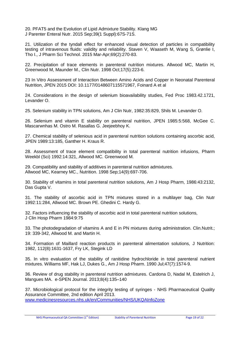20. PFAT5 and the Evolution of Lipid Admixture Stability. Klang MG J Parenter Enteral Nutr. 2015 Sep;39(1 Suppl):67S-71S.

21. Utilization of the tyndall effect for enhanced visual detection of particles in compatibility testing of intravenous fluids: validity and reliability. Staven V, Waaseth M, Wang S, Grønlie I, Tho I., J Pharm Sci Technol. 2015 Mar-Apr;69(2):270-83.

22. Precipitation of trace elements in parenteral nutrition mixtures. Allwood MC, Martin H, Greenwood M, Maunder M., Clin Nutr. 1998 Oct;17(5):223-6.

23 In Vitro Assessment of Interaction Between Amino Acids and Copper in Neonatal Parenteral Nutrition, JPEN 2015 DOI: 10.1177/0148607115571967, Foinard A et al

24. Considerations in the design of selenium bioavailability studies, Fed Proc 1983.42.1721, Levander O.

25. Selenium stability in TPN solutions, Am J Clin Nutr, 1982:35:829, Shils M. Levander O.

26. Selenium and vitamin E stability on parenteral nutrition, JPEN 1985:5:568, McGee C. Mascarwnhas M. Ostro M. Rasallas G. Jeejeebhoy K.

27. Chemical stability of selenious acid in parenteral nutrition solutions containing ascorbic acid, JPEN 1989:13:185, Ganther H. Kraus R.

28. Assessment of trace element compatibility in total parenteral nutrition infusions, Pharm Weekbl (Sci) 1992:14:321, Allwood MC. Greenwood M.

29. Compatibility and stability of additives in parenteral nutrition admixtures. Allwood MC, Kearney MC., Nutrition. 1998 Sep;14(9):697-706.

30. Stability of vitamins in total parenteral nutrition solutions, Am J Hosp Pharm, 1986:43:2132, Das Gupta V.

31. The stability of ascorbic acid in TPN mixtures stored in a multilayer bag, Clin Nutr 1992:11:284, Allwood MC. Brown PE. Ghedini C. Hardy G.

32. Factors influencing the stability of ascorbic acid in total parenteral nutrition solutions, J Clin Hosp Pharm 1984:9:75

33. The photodegradation of vitamins A and E in PN mixtures during administration. Clin.Nutrit.; 19: 339-342, Allwood M. and Martin H.

34. Formation of Maillard reaction products in parenteral alimentation solutions, J Nutrition: 1982, 112(8):1631-1637, Fry LK, Stegink LD

35. In vitro evaluation of the stability of ranitidine hydrochloride in total parenteral nutrient mixtures. Williams MF, Hak LJ, Dukes G., Am J Hosp Pharm. 1990 Jul;47(7):1574-9.

36. Review of drug stability in parenteral nutrition admixtures. Cardona D, Nadal M, Estelrich J, Mangues MA. e-SPEN Journal. 2013;8(4):135–140

37. Microbiological protocol for the integrity testing of syringes - NHS Pharmaceutical Quality Assurance Committee, 2nd edition April 2013. [www.medicinesresources.nhs.uk/en/Communities/NHS/UKQAInfoZone](http://www.medicinesresources.nhs.uk/en/Communities/NHS/UKQAInfoZone)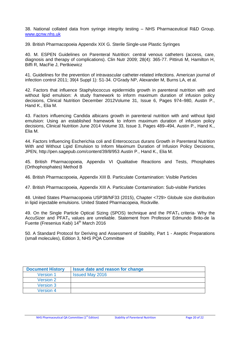38. National collated data from syringe integrity testing – NHS Pharmaceutical R&D Group. [www.qcnw.nhs.uk](http://www.qcnw.nhs.uk/)

39. British Pharmacopoeia Appendix XIX G. Sterile Single-use Plastic Syringes

40. M. ESPEN Guidelines on Parenteral Nutrition: central venous catheters (access, care, diagnosis and therapy of complications). Clin Nutr 2009; 28(4): 365-77. Pittiruti M, Hamilton H, Biffi R, MacFie J, Pertkiewicz

41. Guidelines for the prevention of intravascular catheter-related infections. American journal of infection control 2011; 39(4 Suppl 1): S1-34. O'Grady NP, Alexander M, Burns LA, et al.

42. Factors that influence Staphylococcus epidermidis growth in parenteral nutrition with and without lipid emulsion: A study framework to inform maximum duration of infusion policy decisions, Clinical Nutrition December 2012Volume 31, Issue 6, Pages 974–980, Austin P., Hand K., Elia M.

43. Factors influencing Candida albicans growth in parenteral nutrition with and without lipid emulsion: Using an established framework to inform maximum duration of infusion policy decisions, Clinical Nutrition June 2014 Volume 33, Issue 3, Pages 489–494, Austin P., Hand K., Elia M.

44. Factors Influencing Escherichia coli and Enterococcus durans Growth in Parenteral Nutrition With and Without Lipid Emulsion to Inform Maximum Duration of Infusion Policy Decisions, JPEN, http://pen.sagepub.com/content/39/8/953 Austin P., Hand K., Elia M.

45. British Pharmacopoeia, Appendix VI Qualitative Reactions and Tests, Phosphates (Orthophosphates) Method B

46. British Pharmacopoeia, Appendix XIII B. Particulate Contamination: Visible Particles

47. British Pharmacopoeia, Appendix XIII A. Particulate Contamination: Sub-visible Particles

48. United States Pharmacopoeia USP38/NF33 (2015), Chapter <729> Globule size distribution in lipid injectable emulsions. United Stated Pharmacopeia, Rockville.

49. On the Single Particle Optical Sizing (SPOS) technique and the PFAT $_5$  criteria- Why the AccuSizer and  $PFAT<sub>5</sub>$  values are unreliable. Statement from Professor Edmundo Brito-de la Fuente (Fresenius Kabi) 14<sup>th</sup> March 2016

50. A Standard Protocol for Deriving and Assessment of Stability, Part 1 - Aseptic Preparations (small molecules), Edition 3, NHS PQA Committee

| <b>Document History</b> | Issue date and reason for change |
|-------------------------|----------------------------------|
| <b>Version 1</b>        | <b>Issued May 2016</b>           |
| Version 2               |                                  |
| Version 3               |                                  |
| <b>Version 4</b>        |                                  |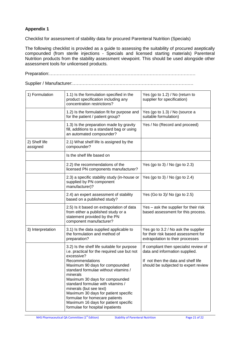# **Appendix 1**

Checklist for assessment of stability data for procured Parenteral Nutrition (Specials)

The following checklist is provided as a guide to assessing the suitability of procured aseptically compounded (from sterile injections - Specials and licensed starting materials) Parenteral Nutrition products from the stability assessment viewpoint. This should be used alongside other assessment tools for unlicensed products.

Preparation:………………………………………………………………………………………

Supplier / Manufacturer:……………………………………………………………………….

| 1) Formulation            | 1.1) Is the formulation specified in the<br>product specification including any<br>concentration restrictions?                                                                                                                                                                                                                                                                                                                                                            | Yes (go to 1.2) / No (return to<br>supplier for specification)                                                                                          |
|---------------------------|---------------------------------------------------------------------------------------------------------------------------------------------------------------------------------------------------------------------------------------------------------------------------------------------------------------------------------------------------------------------------------------------------------------------------------------------------------------------------|---------------------------------------------------------------------------------------------------------------------------------------------------------|
|                           | 1.2) Is the formulation fit for purpose and<br>for the patient / patient group?                                                                                                                                                                                                                                                                                                                                                                                           | Yes (go to 1.3) / No (source a<br>suitable formulation)                                                                                                 |
|                           | 1.3) Is the preparation made by gravity<br>fill, additions to a standard bag or using<br>an automated compounder?                                                                                                                                                                                                                                                                                                                                                         | Yes / No (Record and proceed)                                                                                                                           |
| 2) Shelf life<br>assigned | 2.1) What shelf life is assigned by the<br>compounder?                                                                                                                                                                                                                                                                                                                                                                                                                    |                                                                                                                                                         |
|                           | Is the shelf life based on                                                                                                                                                                                                                                                                                                                                                                                                                                                |                                                                                                                                                         |
|                           | 2.2) the recommendations of the<br>licensed PN components manufacturer?                                                                                                                                                                                                                                                                                                                                                                                                   | Yes (go to 3) / No (go to 2.3)                                                                                                                          |
|                           | 2.3) a specific stability study (in-house or<br>supplied by PN component<br>manufacturer)?                                                                                                                                                                                                                                                                                                                                                                                | Yes (go to 3) / No (go to 2.4)                                                                                                                          |
|                           | 2.4) an expert assessment of stability<br>based on a published study?                                                                                                                                                                                                                                                                                                                                                                                                     | Yes (Go to 3)/ No (go to 2.5)                                                                                                                           |
|                           | 2.5) Is it based on extrapolation of data<br>from either a published study or a<br>statement provided by the PN<br>component manufacturer?                                                                                                                                                                                                                                                                                                                                | Yes - ask the supplier for their risk<br>based assessment for this process.                                                                             |
| 3) Interpretation         | 3.1) Is the data supplied applicable to<br>the formulation and method of<br>preparation?                                                                                                                                                                                                                                                                                                                                                                                  | Yes go to 3.2 / No ask the supplier<br>for their risk based assessment for<br>extrapolation to their processes                                          |
|                           | 3.2) Is the shelf life suitable for purpose<br>i.e. practical for the required use but not<br>excessive?<br>Recommendations<br>Maximum 90 days for compounded<br>standard formulae without vitamins /<br>minerals<br>Maximum 30 days for compounded<br>standard formulae with vitamins /<br>minerals (but see text)<br>Maximum 30 days for patient specific<br>formulae for homecare patients<br>Maximum 16 days for patient specific<br>formulae for hospital inpatients | If compliant then specialist review of<br>data and information supplied.<br>If not then the data and shelf life<br>should be subjected to expert review |